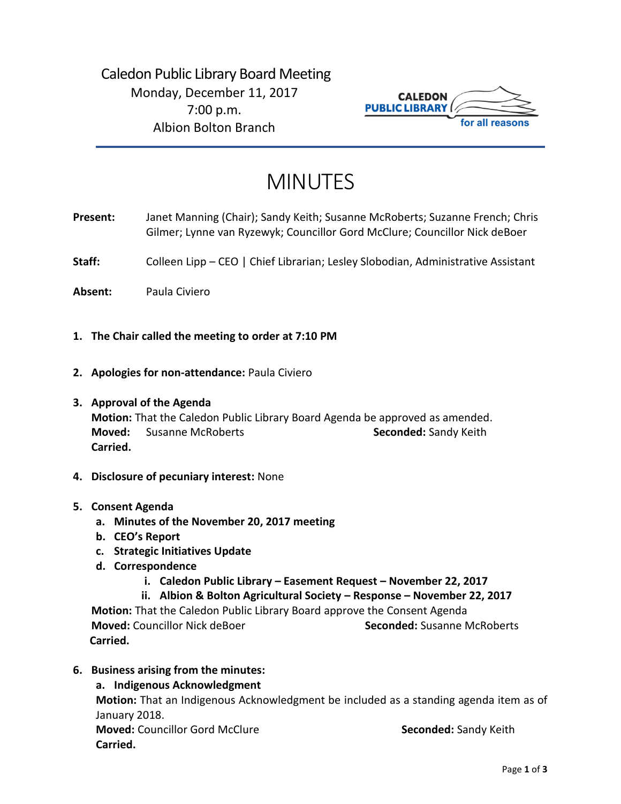# Caledon Public Library Board Meeting Monday, December 11, 2017 7:00 p.m. Albion Bolton Branch



# MINUTES

- **Present:** Janet Manning (Chair); Sandy Keith; Susanne McRoberts; Suzanne French; Chris Gilmer; Lynne van Ryzewyk; Councillor Gord McClure; Councillor Nick deBoer
- Staff: Colleen Lipp CEO | Chief Librarian; Lesley Slobodian, Administrative Assistant
- **Absent:** Paula Civiero
- **1. The Chair called the meeting to order at 7:10 PM**
- **2. Apologies for non-attendance:** Paula Civiero
- **3. Approval of the Agenda**

**Motion:** That the Caledon Public Library Board Agenda be approved as amended. **Moved:** Susanne McRoberts **Seconded:** Sandy Keith **Carried.**

- **4. Disclosure of pecuniary interest:** None
- **5. Consent Agenda**
	- **a. Minutes of the November 20, 2017 meeting**
	- **b. CEO's Report**
	- **c. Strategic Initiatives Update**
	- **d. Correspondence**
		- **i. Caledon Public Library – Easement Request – November 22, 2017**

**ii. Albion & Bolton Agricultural Society – Response – November 22, 2017 Motion:** That the Caledon Public Library Board approve the Consent Agenda **Moved:** Councillor Nick deBoer **Seconded:** Susanne McRoberts  **Carried.** 

- **6. Business arising from the minutes:** 
	- **a. Indigenous Acknowledgment**

**Motion:** That an Indigenous Acknowledgment be included as a standing agenda item as of January 2018.

**Moved:** Councillor Gord McClure **Seconded:** Sandy Keith **Carried.**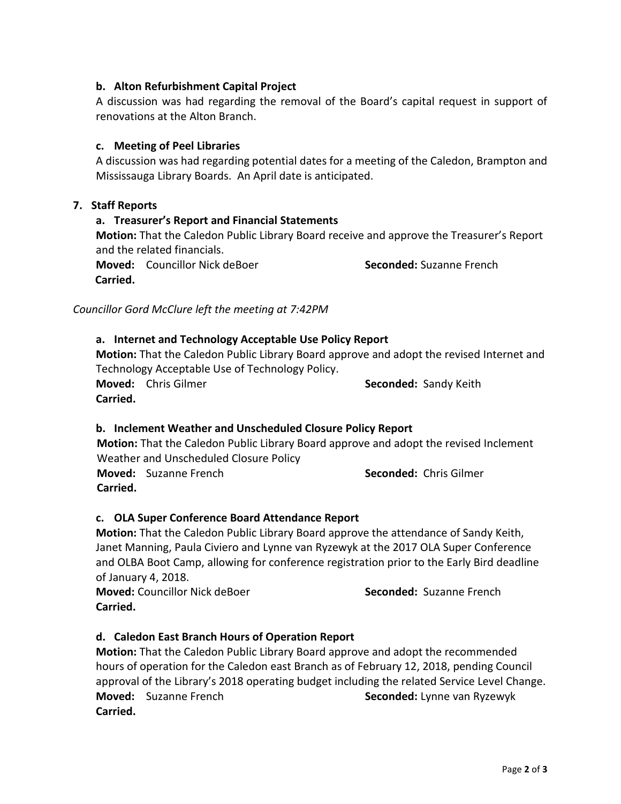# **b. Alton Refurbishment Capital Project**

A discussion was had regarding the removal of the Board's capital request in support of renovations at the Alton Branch.

# **c. Meeting of Peel Libraries**

A discussion was had regarding potential dates for a meeting of the Caledon, Brampton and Mississauga Library Boards. An April date is anticipated.

### **7. Staff Reports**

# **a. Treasurer's Report and Financial Statements**

**Motion:** That the Caledon Public Library Board receive and approve the Treasurer's Report and the related financials.

**Moved:** Councillor Nick deBoer **Seconded:** Suzanne French  **Carried.** 

*Councillor Gord McClure left the meeting at 7:42PM*

### **a. Internet and Technology Acceptable Use Policy Report**

**Motion:** That the Caledon Public Library Board approve and adopt the revised Internet and Technology Acceptable Use of Technology Policy.

**Moved:** Chris Gilmer **Seconded:** Sandy Keith **Carried.** 

# **b. Inclement Weather and Unscheduled Closure Policy Report**

 **Motion:** That the Caledon Public Library Board approve and adopt the revised Inclement Weather and Unscheduled Closure Policy

**Moved:** Suzanne French **Seconded:** Chris Gilmer  **Carried.**

# **c. OLA Super Conference Board Attendance Report**

**Motion:** That the Caledon Public Library Board approve the attendance of Sandy Keith, Janet Manning, Paula Civiero and Lynne van Ryzewyk at the 2017 OLA Super Conference and OLBA Boot Camp, allowing for conference registration prior to the Early Bird deadline of January 4, 2018.

**Moved:** Councillor Nick deBoer **Seconded:** Suzanne French **Carried.**

# **d. Caledon East Branch Hours of Operation Report**

**Motion:** That the Caledon Public Library Board approve and adopt the recommended hours of operation for the Caledon east Branch as of February 12, 2018, pending Council approval of the Library's 2018 operating budget including the related Service Level Change. **Moved:** Suzanne French **Seconded:** Lynne van Ryzewyk **Carried.**